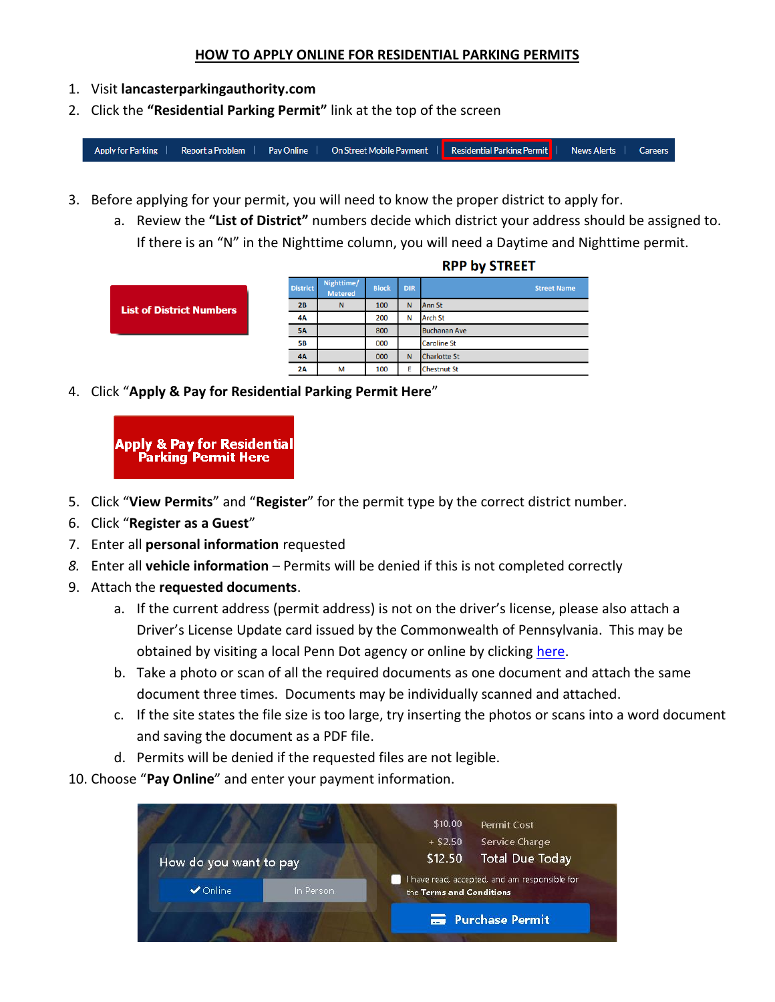## **HOW TO APPLY ONLINE FOR RESIDENTIAL PARKING PERMITS**

- 1. Visit **lancasterparkingauthority.com**
- 2. Click the **"Residential Parking Permit"** link at the top of the screen

**Residential Parking Permit Apply for Parking** Report a Problem | Pav Online On Street Mobile Payment | News Alerts | Careers

- 3. Before applying for your permit, you will need to know the proper district to apply for.
	- a. Review the **"List of District"** numbers decide which district your address should be assigned to. If there is an "N" in the Nighttime column, you will need a Daytime and Nighttime permit.

|                                 | <b>District</b> | Nighttime/<br><b>Metered</b> | <b>Block</b> | <b>DIR</b> | <b>Street Name</b>  |
|---------------------------------|-----------------|------------------------------|--------------|------------|---------------------|
| <b>List of District Numbers</b> | 2B              | N                            | 100          | N          | Ann <sub>St</sub>   |
|                                 | 4A              |                              | 200          | N          | <b>Arch St</b>      |
|                                 | <b>5A</b>       |                              | 800          |            | <b>Buchanan Ave</b> |
|                                 | <b>5B</b>       |                              | 000          |            | <b>Caroline St</b>  |
|                                 | <b>4A</b>       |                              | 000          | N          | <b>Charlotte St</b> |
|                                 | 2A              | м                            | 100          | F          | <b>Chestnut St</b>  |

**RPP by STREET** 

4. Click "**Apply & Pay for Residential Parking Permit Here**"



- 5. Click "**View Permits**" and "**Register**" for the permit type by the correct district number.
- 6. Click "**Register as a Guest**"
- 7. Enter all **personal information** requested
- *8.* Enter all **vehicle information** Permits will be denied if this is not completed correctly
- 9. Attach the **requested documents**.
	- a. If the current address (permit address) is not on the driver's license, please also attach a Driver's License Update card issued by the Commonwealth of Pennsylvania. This may be obtained by visiting a local Penn Dot agency or online by clicking [here.](https://www.dot3e.penndot.gov/driver_services/dllogin.jsp#top?20181105134754827=20181105134754827)
	- b. Take a photo or scan of all the required documents as one document and attach the same document three times. Documents may be individually scanned and attached.
	- c. If the site states the file size is too large, try inserting the photos or scans into a word document and saving the document as a PDF file.
	- d. Permits will be denied if the requested files are not legible.
- 10. Choose "**Pay Online**" and enter your payment information.